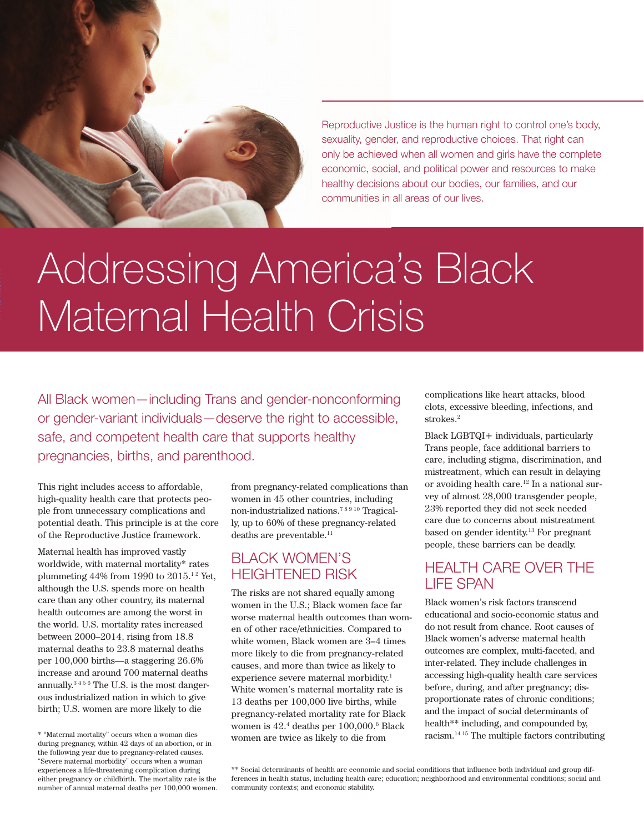

Reproductive Justice is the human right to control one's body, sexuality, gender, and reproductive choices. That right can only be achieved when all women and girls have the complete economic, social, and political power and resources to make healthy decisions about our bodies, our families, and our communities in all areas of our lives.

# Addressing America's Black Maternal Health Crisis

All Black women—including Trans and gender-nonconforming or gender-variant individuals—deserve the right to accessible, safe, and competent health care that supports healthy pregnancies, births, and parenthood.

This right includes access to affordable, high-quality health care that protects people from unnecessary complications and potential death. This principle is at the core of the Reproductive Justice framework.

Maternal health has improved vastly worldwide, with maternal mortality\* rates plummeting  $44\%$  from 1990 to  $2015.<sup>12</sup>$  Yet, although the U.S. spends more on health care than any other country, its maternal health outcomes are among the worst in the world. U.S. mortality rates increased between 2000–2014, rising from 18.8 maternal deaths to 23.8 maternal deaths per 100,000 births—a staggering 26.6% increase and around 700 maternal deaths annually.3 4 5 6 The U.S. is the most dangerous industrialized nation in which to give birth; U.S. women are more likely to die

from pregnancy-related complications than women in 45 other countries, including non-industrialized nations.7 8 9 10 Tragically, up to 60% of these pregnancy-related deaths are preventable.<sup>11</sup>

## BLACK WOMEN'S HEIGHTENED RISK

The risks are not shared equally among women in the U.S.; Black women face far worse maternal health outcomes than women of other race/ethnicities. Compared to white women, Black women are 3–4 times more likely to die from pregnancy-related causes, and more than twice as likely to experience severe maternal morbidity.<sup>1</sup> White women's maternal mortality rate is 13 deaths per 100,000 live births, while pregnancy-related mortality rate for Black women is 42.4 deaths per 100,000.6 Black women are twice as likely to die from

complications like heart attacks, blood clots, excessive bleeding, infections, and strokes.<sup>2</sup>

Black LGBTQI+ individuals, particularly Trans people, face additional barriers to care, including stigma, discrimination, and mistreatment, which can result in delaying or avoiding health care.12 In a national survey of almost 28,000 transgender people, 23% reported they did not seek needed care due to concerns about mistreatment based on gender identity.13 For pregnant people, these barriers can be deadly.

## HEALTH CARE OVER THE LIFE SPAN

Black women's risk factors transcend educational and socio-economic status and do not result from chance. Root causes of Black women's adverse maternal health outcomes are complex, multi-faceted, and inter-related. They include challenges in accessing high-quality health care services before, during, and after pregnancy; disproportionate rates of chronic conditions; and the impact of social determinants of health\*\* including, and compounded by, racism.14 15 The multiple factors contributing

<sup>\* &</sup>quot;Maternal mortality" occurs when a woman dies during pregnancy, within 42 days of an abortion, or in the following year due to pregnancy-related causes. "Severe maternal morbidity" occurs when a woman experiences a life-threatening complication during either pregnancy or childbirth. The mortality rate is the number of annual maternal deaths per 100,000 women.

<sup>\*\*</sup> Social determinants of health are economic and social conditions that influence both individual and group differences in health status, including health care; education; neighborhood and environmental conditions; social and community contexts; and economic stability.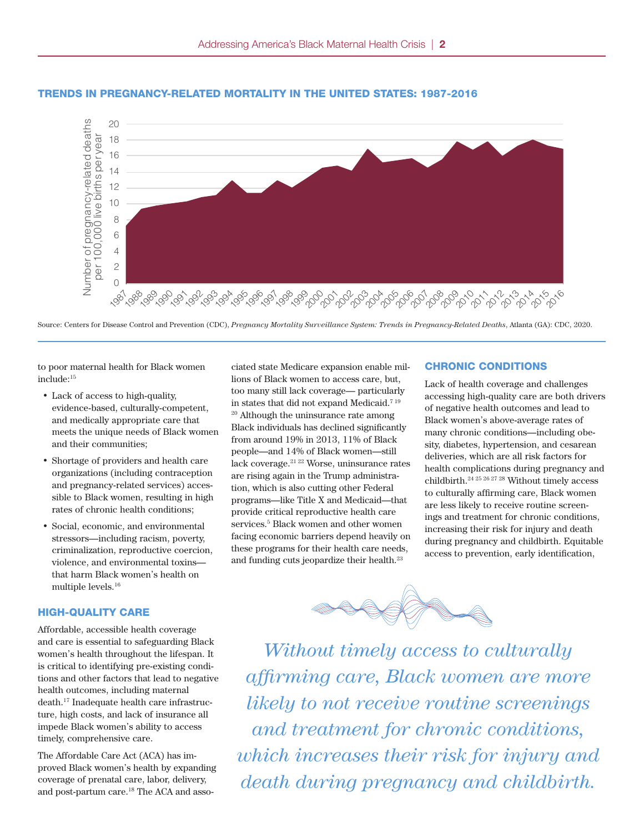

# Trends in pregnancy-related mortality TRENDS IN PREGNANCY-RELATED MORTALITY IN THE UNITED STATES: 1987-2016

Source: Centers for Disease Control and Prevention (CDC), *Pregnancy Mortality Surveillance System: Trends in Pregnancy-Related Deaths*, Atlanta (GA): CDC, 2020.

to poor maternal health for Black women include:15

- Lack of access to high-quality, evidence-based, culturally-competent, and medically appropriate care that meets the unique needs of Black women and their communities;
- Shortage of providers and health care organizations (including contraception and pregnancy-related services) acces-30 sible to Black women, resulting in high zhoù eo Dalen women, resuling m Tani:<br>pr<br>+ to<br>al,<br>ssc<br>in:
- Social, economic, and environmental stressors—including racism, poverty, criminalization, reproductive coercion, violence, and environmental toxins— 5 that harm Black women's health on multiple levels.16

#### HIGH-QUALITY CARE

Affordable, accessible health coverage and care is essential to safeguarding Black women's health throughout the lifespan. It is critical to identifying pre-existing conditions and other factors that lead to negative health outcomes, including maternal death.17 Inadequate health care infrastructure, high costs, and lack of insurance all impede Black women's ability to access timely, comprehensive care.

The Affordable Care Act (ACA) has improved Black women's health by expanding coverage of prenatal care, labor, delivery, and post-partum care.18 The ACA and asso-

ciated state Medicare expansion enable milde:<sup>15</sup><br>
lions of Black women to access care, but,<br>
Lack of health covera too many still lack coverage— particularly in states that did not expand Medicaid.7 19 <sup>20</sup> Although the uninsurance rate among Le care that<br>of Black women Black individuals has declined significantly from around 19% in 2013, 11% of Black people—and 14% of Black women—still lack coverage.<sup>21 22</sup> Worse, uninsurance rates are rising again in the Trump administration, which is also cutting other Federal programs—like Title X and Medicaid—that provide critical reproductive health care services.5 Black women and other women facing economic barriers depend heavily on these programs for their health care needs, and funding cuts jeopardize their health.<sup>23</sup>

## e expansion enable mil-<br> **CHRONIC CONDITIONS**

Lack of health coverage and challenges accessing high-quality care are both drivers of negative health outcomes and lead to Black women's above-average rates of many chronic conditions—including obesity, diabetes, hypertension, and cesarean deliveries, which are all risk factors for health complications during pregnancy and childbirth.24 25 26 27 28 Without timely access to culturally affirming care, Black women are less likely to receive routine screenings and treatment for chronic conditions, increasing their risk for injury and death during pregnancy and childbirth. Equitable access to prevention, early identification,



*Without timely access to culturally affirming care, Black women are more likely to not receive routine screenings and treatment for chronic conditions, which increases their risk for injury and death during pregnancy and childbirth.*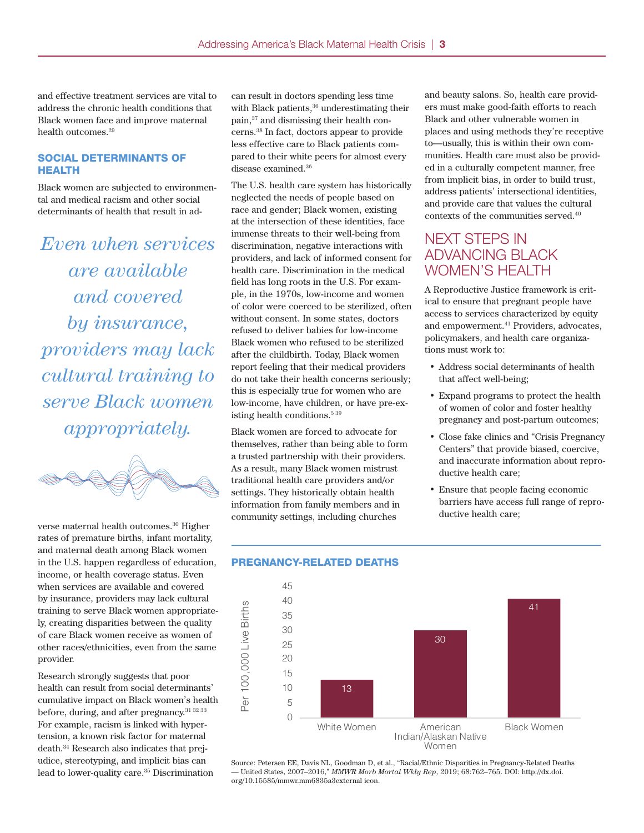and effective treatment services are vital to address the chronic health conditions that Black women face and improve maternal health outcomes.<sup>29</sup>

#### SOCIAL DETERMINANTS OF HEALTH

Black women are subjected to environmental and medical racism and other social determinants of health that result in ad-

*Even when services are available and covered by insurance, providers may lack cultural training to serve Black women appropriately.*



verse maternal health outcomes.<sup>30</sup> Higher rates of premature births, infant mortality, and maternal death among Black women in the U.S. happen regardless of education, income, or health coverage status. Even when services are available and covered by insurance, providers may lack cultural training to serve Black women appropriately, creating disparities between the quality of care Black women receive as women of other races/ethnicities, even from the same provider.

Research strongly suggests that poor health can result from social determinants' cumulative impact on Black women's health before, during, and after pregnancy.<sup>31 32 33</sup> For example, racism is linked with hypertension, a known risk factor for maternal death.34 Research also indicates that prejudice, stereotyping, and implicit bias can lead to lower-quality care.35 Discrimination

can result in doctors spending less time with Black patients,<sup>36</sup> underestimating their pain,37 and dismissing their health concerns.38 In fact, doctors appear to provide less effective care to Black patients compared to their white peers for almost every disease examined.36

The U.S. health care system has historically address patients' intersectional identities,<br>neglected the needs of people based on race and gender; Black women, existing at the intersection of these identities, face immense threats to their well-being from discrimination, negative interactions with providers, and lack of informed consent for health care. Discrimination in the medical field has long roots in the U.S. For example, in the 1970s, low-income and women 16 of color were coerced to be sterilized, often without consent. In some states, doctors refused to deliver babies for low-income 12 Black women who refused to be sterilized after the childbirth. Today, Black women report feeling that their medical providers 8 do not take their health concerns seriously; 6 this is especially true for women who are 4 low-income, have children, or have pre-existing health conditions.<sup>5 39</sup> number of pregnancy-related death<br>number of predictions of predictions<br>and the predictions of predictions of predictions of predictions of predictions of the context<br>number of predictions of predictions of the context of t per 100,000 live births per year to be births per year to be about 100,000 live births per year to be about 100,000 live births per year to be about 100,000 live births per year to be about 100,000 live births per year to

Black women are forced to advocate for 0 ыаск women are forced to advocate for<br>themselves, rather than being able to form a trusted partnership with their providers. As a result, many Black women mistrust traditional health care providers and/or settings. They historically obtain health information from family members and in community settings, including churches Per 100,000 live births 13 30 41

and beauty salons. So, health care providers must make good-faith efforts to reach Black and other vulnerable women in places and using methods they're receptive to—usually, this is within their own communities. Health care must also be provided in a culturally competent manner, free from implicit bias, in order to build trust, address patients' intersectional identities, and provide care that values the cultural contexts of the communities served.40

### ng from<br>ng swith MEXT STEPS IN ADVANCING BLACK WOMEN'S HEALTH  $\min$  INEAT STEFS IN  $\frac{1}{2}$

A Reproductive Justice framework is critical to ensure that pregnant people have access to services characterized by equity and empowerment.<sup>41</sup> Providers, advocates, policymakers, and health care organizations must work to:

- Address social determinants of health that affect well-being;
- Expand programs to protect the health of women of color and foster healthy pregnancy and post-partum outcomes;
- Close fake clinics and "Crisis Pregnancy"<br>Centers" that provide biased coercive Centers" that provide biased, coercive, and inaccurate information about reproductive health care;
	- Ensure that people facing economic barriers have access full range of reproductive health care; We access ran range or repro<br>alth care:



# **PREGNANCY-RELATED DEATHS**

Source: Petersen EE, Davis NL, Goodman D, et al., "Racial/Ethnic Disparities in Pregnancy-Related Deaths — United States, 2007–2016," *MMWR Morb Mortal Wkly Rep*, 2019; 68:762–765. DOI: http://dx.doi. org/10.15585/mmwr.mm6835a3external icon.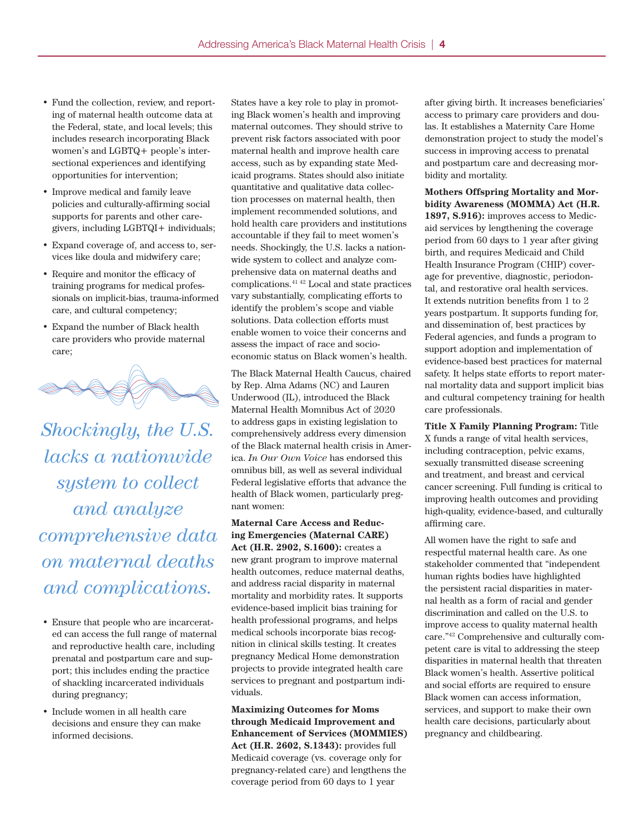- Fund the collection, review, and reporting of maternal health outcome data at the Federal, state, and local levels; this includes research incorporating Black women's and LGBTQ+ people's intersectional experiences and identifying opportunities for intervention;
- Improve medical and family leave policies and culturally-affirming social supports for parents and other caregivers, including LGBTQI+ individuals;
- Expand coverage of, and access to, services like doula and midwifery care;
- Require and monitor the efficacy of training programs for medical professionals on implicit-bias, trauma-informed care, and cultural competency;
- Expand the number of Black health care providers who provide maternal care;



*Shockingly, the U.S. lacks a nationwide system to collect and analyze comprehensive data on maternal deaths and complications.*

- Ensure that people who are incarcerated can access the full range of maternal and reproductive health care, including prenatal and postpartum care and support; this includes ending the practice of shackling incarcerated individuals during pregnancy;
- Include women in all health care decisions and ensure they can make informed decisions.

States have a key role to play in promoting Black women's health and improving maternal outcomes. They should strive to prevent risk factors associated with poor maternal health and improve health care access, such as by expanding state Medicaid programs. States should also initiate quantitative and qualitative data collection processes on maternal health, then implement recommended solutions, and hold health care providers and institutions accountable if they fail to meet women's needs. Shockingly, the U.S. lacks a nationwide system to collect and analyze comprehensive data on maternal deaths and complications.41 42 Local and state practices vary substantially, complicating efforts to identify the problem's scope and viable solutions. Data collection efforts must enable women to voice their concerns and assess the impact of race and socioeconomic status on Black women's health.

The Black Maternal Health Caucus, chaired by Rep. Alma Adams (NC) and Lauren Underwood (IL), introduced the Black Maternal Health Momnibus Act of 2020 to address gaps in existing legislation to comprehensively address every dimension of the Black maternal health crisis in America. *In Our Own Voice* has endorsed this omnibus bill, as well as several individual Federal legislative efforts that advance the health of Black women, particularly pregnant women:

**Maternal Care Access and Reducing Emergencies (Maternal CARE) Act (H.R. 2902, S.1600):** creates a new grant program to improve maternal health outcomes, reduce maternal deaths, and address racial disparity in maternal mortality and morbidity rates. It supports evidence-based implicit bias training for health professional programs, and helps medical schools incorporate bias recognition in clinical skills testing. It creates pregnancy Medical Home demonstration projects to provide integrated health care services to pregnant and postpartum individuals.

**Maximizing Outcomes for Moms through Medicaid Improvement and Enhancement of Services (MOMMIES) Act (H.R. 2602, S.1343):** provides full Medicaid coverage (vs. coverage only for pregnancy-related care) and lengthens the coverage period from 60 days to 1 year

after giving birth. It increases beneficiaries' access to primary care providers and doulas. It establishes a Maternity Care Home demonstration project to study the model's success in improving access to prenatal and postpartum care and decreasing morbidity and mortality.

**Mothers Offspring Mortality and Morbidity Awareness (MOMMA) Act (H.R. 1897, S.916):** improves access to Medicaid services by lengthening the coverage period from 60 days to 1 year after giving birth, and requires Medicaid and Child Health Insurance Program (CHIP) coverage for preventive, diagnostic, periodontal, and restorative oral health services. It extends nutrition benefits from 1 to 2 years postpartum. It supports funding for, and dissemination of, best practices by Federal agencies, and funds a program to support adoption and implementation of evidence-based best practices for maternal safety. It helps state efforts to report maternal mortality data and support implicit bias and cultural competency training for health care professionals.

**Title X Family Planning Program:** Title X funds a range of vital health services, including contraception, pelvic exams, sexually transmitted disease screening and treatment, and breast and cervical cancer screening. Full funding is critical to improving health outcomes and providing high-quality, evidence-based, and culturally affirming care.

All women have the right to safe and respectful maternal health care. As one stakeholder commented that "independent human rights bodies have highlighted the persistent racial disparities in maternal health as a form of racial and gender discrimination and called on the U.S. to improve access to quality maternal health care."42 Comprehensive and culturally competent care is vital to addressing the steep disparities in maternal health that threaten Black women's health. Assertive political and social efforts are required to ensure Black women can access information, services, and support to make their own health care decisions, particularly about pregnancy and childbearing.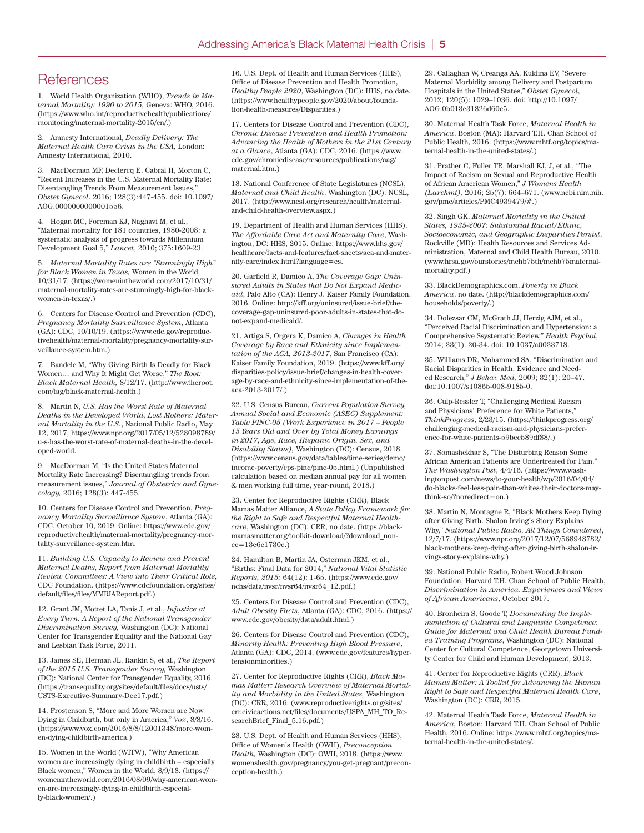## **References**

1. World Health Organization (WHO), *Trends in Maternal Mortality: 1990 to 2015,* Geneva: WHO, 2016. (https://www.who.int/reproductivehealth/publications/ monitoring/maternal-mortality-2015/en/.)

2. Amnesty International, *Deadly Delivery: The Maternal Health Care Crisis in the USA,* London: Amnesty International, 2010.

3. MacDorman MF, Declercq E, Cabral H, Morton C, "Recent Increases in the U.S. Maternal Mortality Rate: Disentangling Trends From Measurement Issues," *Obstet Gynecol*. 2016; 128(3):447-455. doi: 10.1097/ AOG.0000000000001556.

4. Hogan MC, Foreman KJ, Naghavi M, et al., "Maternal mortality for 181 countries, 1980-2008: a systematic analysis of progress towards Millennium Development Goal 5," *Lancet*, 2010; 375:1609-23.

5. *Maternal Mortality Rates are "Stunningly High" for Black Women in Texas,* Women in the World, 10/31/17. (https://womenintheworld.com/2017/10/31/ maternal-mortality-rates-are-stunningly-high-for-blackwomen-in-texas/.)

6. Centers for Disease Control and Prevention (CDC), *Pregnancy Mortality Surveillance System*, Atlanta (GA): CDC, 10/10/19. (https://www.cdc.gov/reproductivehealth/maternal-mortality/pregnancy-mortality-surveillance-system.htm.)

7. Bandele M, "Why Giving Birth Is Deadly for Black Women… and Why It Might Get Worse," *The Root: Black Maternal Health,* 8/12/17. (http://www.theroot. com/tag/black-maternal-health.)

8. Martin N, *U.S. Has the Worst Rate of Maternal Deaths in the Developed World, Lost Mothers: Maternal Mortality in the U.S.*, National Public Radio, May 12, 2017, https://www.npr.org/2017/05/12/528098789/ u-s-has-the-worst-rate-of-maternal-deaths-in-the-developed-world.

9. MacDorman M, "Is the United States Maternal Mortality Rate Increasing? Disentangling trends from measurement issues," *Journal of Obstetrics and Gynecology,* 2016; 128(3): 447-455.

10. Centers for Disease Control and Prevention, *Pregnancy Mortality Surveillance System*, Atlanta (GA): CDC, October 10, 2019. Online: https://www.cdc.gov/ reproductivehealth/maternal-mortality/pregnancy-mortality-surveillance-system.htm.

11. *Building U.S. Capacity to Review and Prevent Maternal Deaths, Report from Maternal Mortality Review Committees: A View into Their Critical Role,* CDC Foundation. (https://www.cdcfoundation.org/sites/ default/files/files/MMRIAReport.pdf.)

12. Grant JM, Mottet LA, Tanis J, et al., *Injustice at Every Turn: A Report of the National Transgender Discrimination Survey,* Washington (DC): National Center for Transgender Equality and the National Gay and Lesbian Task Force, 2011.

13. James SE, Herman JL, Rankin S, et al., *The Report of the 2015 U.S. Transgender Survey,* Washington (DC): National Center for Transgender Equality, 2016. (https://transequality.org/sites/default/files/docs/usts/ USTS-Executive-Summary-Dec17.pdf.)

14. Frostenson S, "More and More Women are Now Dying in Childbirth, but only in America," *Vox*, 8/8/16. (https://www.vox.com/2016/8/8/12001348/more-women-dying-childbirth-america.)

15. Women in the World (WITW), "Why American women are increasingly dying in childbirth – especially Black women," Women in the World, 8/9/18. (https:// womenintheworld.com/2016/08/09/why-american-women-are-increasingly-dying-in-childbirth-especially-black-women/.)

16. U.S. Dept. of Health and Human Services (HHS), Office of Disease Prevention and Health Promotion, *Healthy People 2020*, Washington (DC): HHS, no date. (https://www.healthypeople.gov/2020/about/foundation-health-measures/Disparities.)

17. Centers for Disease Control and Prevention (CDC), *Chronic Disease Prevention and Health Promotion: Advancing the Health of Mothers in the 21st Century at a Glance*, Atlanta (GA): CDC, 2016. (https://www. cdc.gov/chronicdisease/resources/publications/aag/ maternal.htm.)

18. National Conference of State Legislatures (NCSL), *Maternal and Child Health*, Washington (DC): NCSL, 2017. (http://www.ncsl.org/research/health/maternaland-child-health-overview.aspx.)

19. Department of Health and Human Services (HHS), *The Affordable Care Act and Maternity Care*, Washington, DC: HHS, 2015. Online: https://www.hhs.gov/ healthcare/facts-and-features/fact-sheets/aca-and-maternity-care/index.html?language=es.

20. Garfield R, Damico A, *The Coverage Gap: Uninsured Adults in States that Do Not Expand Medicaid*, Palo Alto (CA): Henry J. Kaiser Family Foundation, 2016. Online: http://kff.org/uninsured/issue-brief/thecoverage-gap-uninsured-poor-adults-in-states-that-donot-expand-medicaid/.

21. Artiga S, Orgera K, Damico A, *Changes in Health Coverage by Race and Ethnicity since Implementation of the ACA, 2013-2017*, San Francisco (CA): Kaiser Family Foundation, 2019. (https://www.kff.org/ disparities-policy/issue-brief/changes-in-health-coverage-by-race-and-ethnicity-since-implementation-of-theaca-2013-2017/.)

22. U.S. Census Bureau, *Current Population Survey, Annual Social and Economic (ASEC) Supplement: Table PINC-05 (Work Experience in 2017 – People 15 Years Old and Over by Total Money Earnings in 2017, Age, Race, Hispanic Origin, Sex, and Disability Status),* Washington (DC): Census, 2018. (https://www.census.gov/data/tables/time-series/demo/ income-poverty/cps-pinc/pinc-05.html.) (Unpublished calculation based on median annual pay for all women & men working full time, year-round, 2018.)

23. Center for Reproductive Rights (CRR), Black Mamas Matter Alliance, *A State Policy Framework for the Right to Safe and Respectful Maternal Healthcare*, Washington (DC): CRR, no date. (https://blackmamasmatter.org/toolkit-download/?download\_nonce=13e6c1730c.)

24. Hamilton B, Martin JA, Osterman JKM, et al., "Births: Final Data for 2014," *National Vital Statistic Reports, 2015;* 64(12): 1-65. (https://www.cdc.gov/ nchs/data/nvsr/nvsr64/nvsr64\_12.pdf.)

25. Centers for Disease Control and Prevention (CDC), *Adult Obesity Facts*, Atlanta (GA): CDC, 2016. (https:// www.cdc.gov/obesity/data/adult.html.)

26. Centers for Disease Control and Prevention (CDC), *Minority Health: Preventing High Blood Pressure*, Atlanta (GA): CDC, 2014. (www.cdc.gov/features/hypertensionminorities.)

27. Center for Reproductive Rights (CRR), *Black Mamas Matter: Research Overview of Maternal Mortality and Morbidity in the United States,* Washington (DC): CRR, 2016. (www.reproductiverights.org/sites/ crr.civicactions.net/files/documents/USPA\_MH\_TO\_ResearchBrief\_Final\_5.16.pdf.)

28. U.S. Dept. of Health and Human Services (HHS), Office of Women's Health (OWH), *Preconception Health,* Washington (DC): OWH, 2018. (https://www. womenshealth.gov/pregnancy/you-get-pregnant/preconception-health.)

29. Callaghan W, Creanga AA, Kuklina EV, "Severe Maternal Morbidity among Delivery and Postpartum Hospitals in the United States," *Obstet Gynecol*, 2012; 120(5): 1029–1036. doi: http://10.1097/ AOG.0b013e31826d60c5.

30. Maternal Health Task Force, *Maternal Health in America*, Boston (MA): Harvard T.H. Chan School of Public Health, 2016. (https://www.mhtf.org/topics/maternal-health-in-the-united-states/.)

31. Prather C, Fuller TR, Marshall KJ, J, et al., "The Impact of Racism on Sexual and Reproductive Health of African American Women," *J Womens Health (Larchmt),* 2016; 25(7): 664–671. (www.ncbi.nlm.nih. gov/pmc/articles/PMC4939479/#.)

32. Singh GK, *Maternal Mortality in the United States, 1935-2007: Substantial Racial/Ethnic, Socioeconomic, and Geographic Disparities Persist*, Rockville (MD): Health Resources and Services Administration, Maternal and Child Health Bureau, 2010. (www.hrsa.gov/ourstories/mchb75th/mchb75maternalmortality.pdf.)

33. BlackDemographics.com, *Poverty in Black America*, no date. (http://blackdemographics.com/ households/poverty/.)

34. Dolezsar CM, McGrath JJ, Herzig AJM, et al., "Perceived Racial Discrimination and Hypertension: a Comprehensive Ssystematic Review," *Health Psychol*, 2014; 33(1): 20-34. doi: 10.1037/a0033718.

35. Williams DR, Mohammed SA, "Discrimination and Racial Disparities in Health: Evidence and Needed Research," *J Behav Med,* 2009; 32(1): 20–47. doi:10.1007/s10865-008-9185-0.

36. Culp-Ressler T, "Challenging Medical Racism and Physicians' Preference for White Patients,' *ThinkProgress*, 2/23/15. (https://thinkprogress.org/ challenging-medical-racism-and-physicians-preference-for-white-patients-59bec589df88/.)

37. Somashekhar S, "The Disturbing Reason Some African American Patients are Undertreated for Pain," *The Washington Post*, 4/4/16. (https://www.washingtonpost.com/news/to-your-health/wp/2016/04/04/ do-blacks-feel-less-pain-than-whites-their-doctors-maythink-so/?noredirect=on.)

38. Martin N, Montagne R, "Black Mothers Keep Dying after Giving Birth. Shalon Irving's Story Explains Why," *National Public Radio, All Things Considered*, 12/7/17. (https://www.npr.org/2017/12/07/568948782/ black-mothers-keep-dying-after-giving-birth-shalon-irvings-story-explains-why.)

39. National Public Radio, Robert Wood Johnson Foundation, Harvard T.H. Chan School of Public Health, *Discrimination in America: Experiences and Views of African Americans*, October 2017.

40. Bronheim S, Goode T, *Documenting the Implementation of Cultural and Linguistic Competence: Guide for Maternal and Child Health Bureau Funded Training Programs*, Washington (DC): National Center for Cultural Competence, Georgetown University Center for Child and Human Development, 2013.

41. Center for Reproductive Rights (CRR), *Black Mamas Matter: A Toolkit for Advancing the Human Right to Safe and Respectful Maternal Health Care*, Washington (DC): CRR, 2015.

42. Maternal Health Task Force, *Maternal Health in America,* Boston: Harvard T.H. Chan School of Public Health, 2016. Online: https://www.mhtf.org/topics/maternal-health-in-the-united-states/.